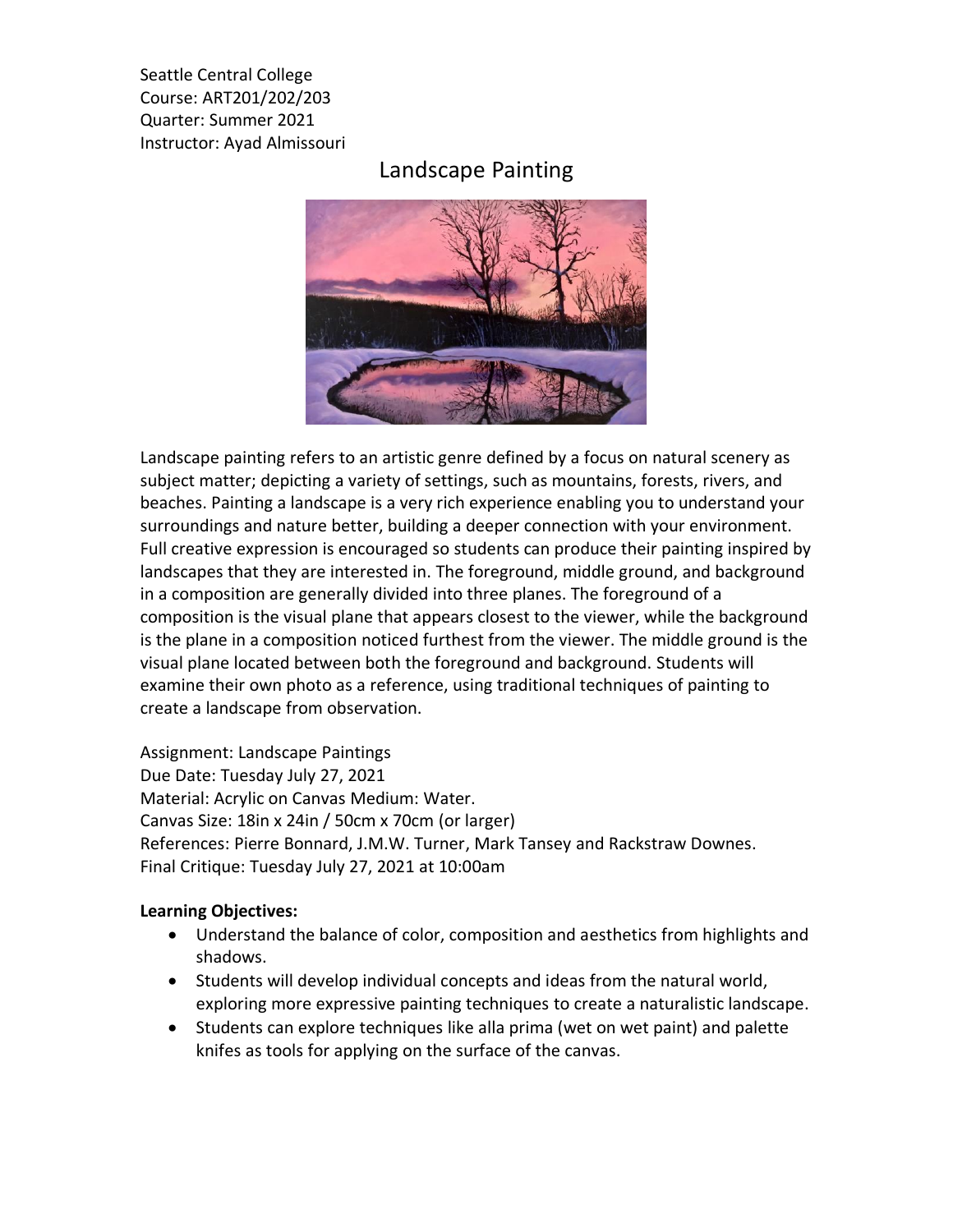Seattle Central College Course: ART201/202/203 Quarter: Summer 2021 Instructor: Ayad Almissouri

## Landscape Painting



Landscape painting refers to an artistic genre defined by a focus on natural scenery as subject matter; depicting a variety of settings, such as mountains, forests, rivers, and beaches. Painting a landscape is a very rich experience enabling you to understand your surroundings and nature better, building a deeper connection with your environment. Full creative expression is encouraged so students can produce their painting inspired by landscapes that they are interested in. The foreground, middle ground, and background in a composition are generally divided into three planes. The foreground of a composition is the visual plane that appears closest to the viewer, while the background is the plane in a composition noticed furthest from the viewer. The middle ground is the visual plane located between both the foreground and background. Students will examine their own photo as a reference, using traditional techniques of painting to create a landscape from observation.

Assignment: Landscape Paintings Due Date: Tuesday July 27, 2021 Material: Acrylic on Canvas Medium: Water. Canvas Size: 18in x 24in / 50cm x 70cm (or larger) References: Pierre Bonnard, J.M.W. Turner, Mark Tansey and Rackstraw Downes. Final Critique: Tuesday July 27, 2021 at 10:00am

## **Learning Objectives:**

- Understand the balance of color, composition and aesthetics from highlights and shadows.
- Students will develop individual concepts and ideas from the natural world, exploring more expressive painting techniques to create a naturalistic landscape.
- Students can explore techniques like alla prima (wet on wet paint) and palette knifes as tools for applying on the surface of the canvas.